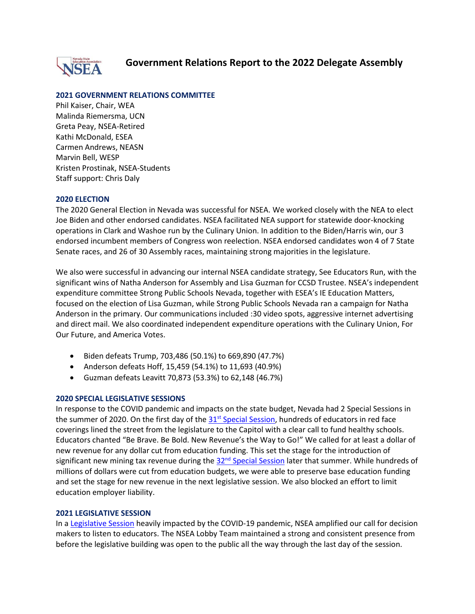

# **2021 GOVERNMENT RELATIONS COMMITTEE**

Phil Kaiser, Chair, WEA Malinda Riemersma, UCN Greta Peay, NSEA-Retired Kathi McDonald, ESEA Carmen Andrews, NEASN Marvin Bell, WESP Kristen Prostinak, NSEA-Students Staff support: Chris Daly

#### **2020 ELECTION**

The 2020 General Election in Nevada was successful for NSEA. We worked closely with the NEA to elect Joe Biden and other endorsed candidates. NSEA facilitated NEA support for statewide door-knocking operations in Clark and Washoe run by the Culinary Union. In addition to the Biden/Harris win, our 3 endorsed incumbent members of Congress won reelection. NSEA endorsed candidates won 4 of 7 State Senate races, and 26 of 30 Assembly races, maintaining strong majorities in the legislature.

We also were successful in advancing our internal NSEA candidate strategy, See Educators Run, with the significant wins of Natha Anderson for Assembly and Lisa Guzman for CCSD Trustee. NSEA's independent expenditure committee Strong Public Schools Nevada, together with ESEA's IE Education Matters, focused on the election of Lisa Guzman, while Strong Public Schools Nevada ran a campaign for Natha Anderson in the primary. Our communications included :30 video spots, aggressive internet advertising and direct mail. We also coordinated independent expenditure operations with the Culinary Union, For Our Future, and America Votes.

- Biden defeats Trump, 703,486 (50.1%) to 669,890 (47.7%)
- Anderson defeats Hoff, 15,459 (54.1%) to 11,693 (40.9%)
- Guzman defeats Leavitt 70,873 (53.3%) to 62,148 (46.7%)

## **2020 SPECIAL LEGISLATIVE SESSIONS**

In response to the COVID pandemic and impacts on the state budget, Nevada had 2 Special Sessions in the summer of 2020. On the first day of the  $31<sup>st</sup>$  [Special Session,](https://www.nsea-nv.org/31st-special-session-2020) hundreds of educators in red face coverings lined the street from the legislature to the Capitol with a clear call to fund healthy schools. Educators chanted "Be Brave. Be Bold. New Revenue's the Way to Go!" We called for at least a dollar of new revenue for any dollar cut from education funding. This set the stage for the introduction of significant new mining tax revenue during the  $32<sup>nd</sup>$  [Special Session](https://www.nsea-nv.org/resource-library/32nd-special-session-summary) later that summer. While hundreds of millions of dollars were cut from education budgets, we were able to preserve base education funding and set the stage for new revenue in the next legislative session. We also blocked an effort to limit education employer liability.

## **2021 LEGISLATIVE SESSION**

In a [Legislative Session](https://www.nsea-nv.org/sites/nsea/files/2021-06/81st%20Legislative%20Session%20Report_0.pdf) heavily impacted by the COVID-19 pandemic, NSEA amplified our call for decision makers to listen to educators. The NSEA Lobby Team maintained a strong and consistent presence from before the legislative building was open to the public all the way through the last day of the session.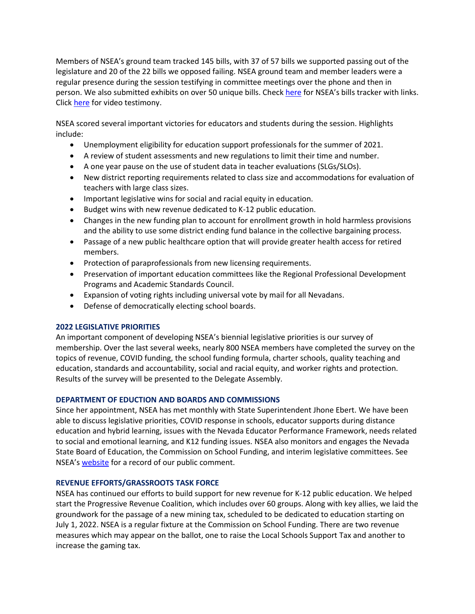Members of NSEA's ground team tracked 145 bills, with 37 of 57 bills we supported passing out of the legislature and 20 of the 22 bills we opposed failing. NSEA ground team and member leaders were a regular presence during the session testifying in committee meetings over the phone and then in person. We also submitted exhibits on over 50 unique bills. Check [here](https://www.nsea-nv.org/node/1171) for NSEA's bills tracker with links. Click [here](https://www.youtube.com/playlist?list=PLIf73V5HhhC_7l7NPeabkzPiKzhkPJFS8) for video testimony.

NSEA scored several important victories for educators and students during the session. Highlights include:

- Unemployment eligibility for education support professionals for the summer of 2021.
- A review of student assessments and new regulations to limit their time and number.
- A one year pause on the use of student data in teacher evaluations (SLGs/SLOs).
- New district reporting requirements related to class size and accommodations for evaluation of teachers with large class sizes.
- Important legislative wins for social and racial equity in education.
- Budget wins with new revenue dedicated to K-12 public education.
- Changes in the new funding plan to account for enrollment growth in hold harmless provisions and the ability to use some district ending fund balance in the collective bargaining process.
- Passage of a new public healthcare option that will provide greater health access for retired members.
- Protection of paraprofessionals from new licensing requirements.
- Preservation of important education committees like the Regional Professional Development Programs and Academic Standards Council.
- Expansion of voting rights including universal vote by mail for all Nevadans.
- Defense of democratically electing school boards.

## **2022 LEGISLATIVE PRIORITIES**

An important component of developing NSEA's biennial legislative priorities is our survey of membership. Over the last several weeks, nearly 800 NSEA members have completed the survey on the topics of revenue, COVID funding, the school funding formula, charter schools, quality teaching and education, standards and accountability, social and racial equity, and worker rights and protection. Results of the survey will be presented to the Delegate Assembly.

## **DEPARTMENT OF EDUCTION AND BOARDS AND COMMISSIONS**

Since her appointment, NSEA has met monthly with State Superintendent Jhone Ebert. We have been able to discuss legislative priorities, COVID response in schools, educator supports during distance education and hybrid learning, issues with the Nevada Educator Performance Framework, needs related to social and emotional learning, and K12 funding issues. NSEA also monitors and engages the Nevada State Board of Education, the Commission on School Funding, and interim legislative committees. See NSEA's [website](https://www.nsea-nv.org/search?q=public%20comment&) for a record of our public comment.

## **REVENUE EFFORTS/GRASSROOTS TASK FORCE**

NSEA has continued our efforts to build support for new revenue for K-12 public education. We helped start the Progressive Revenue Coalition, which includes over 60 groups. Along with key allies, we laid the groundwork for the passage of a new mining tax, scheduled to be dedicated to education starting on July 1, 2022. NSEA is a regular fixture at the Commission on School Funding. There are two revenue measures which may appear on the ballot, one to raise the Local Schools Support Tax and another to increase the gaming tax.